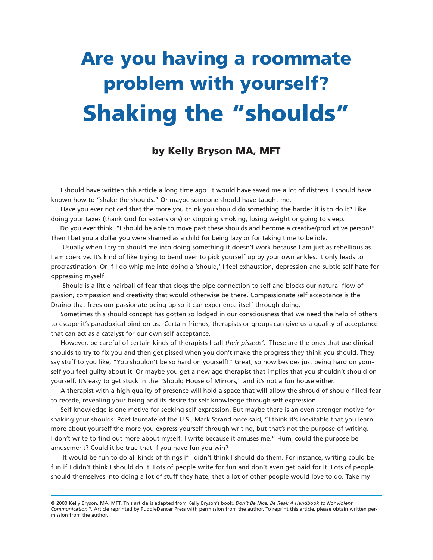# **Are you having a roommate problem with yourself? Shaking the "shoulds"**

## **by Kelly Bryson MA, MFT**

I should have written this article a long time ago. It would have saved me a lot of distress. I should have known how to "shake the shoulds." Or maybe someone should have taught me.

Have you ever noticed that the more you think you should do something the harder it is to do it? Like doing your taxes (thank God for extensions) or stopping smoking, losing weight or going to sleep.

Do you ever think, "I should be able to move past these shoulds and become a creative/productive person!" Then I bet you a dollar you were shamed as a child for being lazy or for taking time to be idle.

Usually when I try to should me into doing something it doesn't work because I am just as rebellious as I am coercive. It's kind of like trying to bend over to pick yourself up by your own ankles. It only leads to procrastination. Or if I do whip me into doing a 'should,' I feel exhaustion, depression and subtle self hate for oppressing myself.

Should is a little hairball of fear that clogs the pipe connection to self and blocks our natural flow of passion, compassion and creativity that would otherwise be there. Compassionate self acceptance is the Draino that frees our passionate being up so it can experience itself through doing.

Sometimes this should concept has gotten so lodged in our consciousness that we need the help of others to escape it's paradoxical bind on us. Certain friends, therapists or groups can give us a quality of acceptance that can act as a catalyst for our own self acceptance.

However, be careful of certain kinds of therapists I call *their pisseds'*. These are the ones that use clinical shoulds to try to fix you and then get pissed when you don't make the progress they think you should. They say stuff to you like, "You shouldn't be so hard on yourself!" Great, so now besides just being hard on yourself you feel guilty about it. Or maybe you get a new age therapist that implies that you shouldn't should on yourself. It's easy to get stuck in the "Should House of Mirrors," and it's not a fun house either.

A therapist with a high quality of presence will hold a space that will allow the shroud of should-filled-fear to recede, revealing your being and its desire for self knowledge through self expression.

Self knowledge is one motive for seeking self expression. But maybe there is an even stronger motive for shaking your shoulds. Poet laureate of the U.S., Mark Strand once said, "I think it's inevitable that you learn more about yourself the more you express yourself through writing, but that's not the purpose of writing. I don't write to find out more about myself, I write because it amuses me." Hum, could the purpose be amusement? Could it be true that if you have fun you win?

It would be fun to do all kinds of things if I didn't think I should do them. For instance, writing could be fun if I didn't think I should do it. Lots of people write for fun and don't even get paid for it. Lots of people should themselves into doing a lot of stuff they hate, that a lot of other people would love to do. Take my

<sup>© 2000</sup> Kelly Bryson, MA, MFT. This article is adapted from Kelly Bryson's book, *Don't Be Nice, Be Real: A Handbook to Nonviolent CommunicationTM*. Article reprinted by PuddleDancer Press with permission from the author. To reprint this article, please obtain written permission from the author.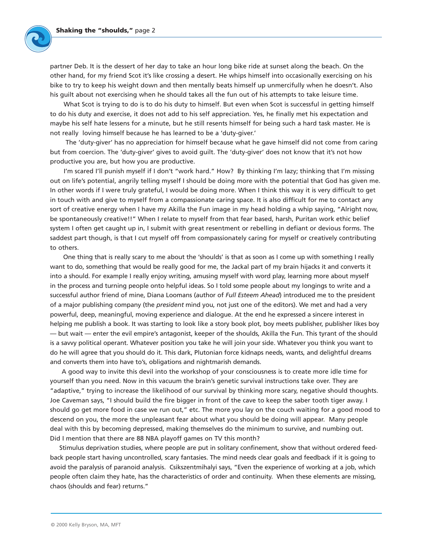

partner Deb. It is the dessert of her day to take an hour long bike ride at sunset along the beach. On the other hand, for my friend Scot it's like crossing a desert. He whips himself into occasionally exercising on his bike to try to keep his weight down and then mentally beats himself up unmercifully when he doesn't. Also his guilt about not exercising when he should takes all the fun out of his attempts to take leisure time.

What Scot is trying to do is to do his duty to himself. But even when Scot is successful in getting himself to do his duty and exercise, it does not add to his self appreciation. Yes, he finally met his expectation and maybe his self hate lessens for a minute, but he still resents himself for being such a hard task master. He is not really loving himself because he has learned to be a 'duty-giver.'

The 'duty-giver' has no appreciation for himself because what he gave himself did not come from caring but from coercion. The 'duty-giver' gives to avoid guilt. The 'duty-giver' does not know that it's not how productive you are, but how you are productive.

I'm scared I'll punish myself if I don't "work hard." How? By thinking I'm lazy; thinking that I'm missing out on life's potential, angrily telling myself I should be doing more with the potential that God has given me. In other words if I were truly grateful, I would be doing more. When I think this way it is very difficult to get in touch with and give to myself from a compassionate caring space. It is also difficult for me to contact any sort of creative energy when I have my Akilla the Fun image in my head holding a whip saying, "Alright now, be spontaneously creative!!" When I relate to myself from that fear based, harsh, Puritan work ethic belief system I often get caught up in, I submit with great resentment or rebelling in defiant or devious forms. The saddest part though, is that I cut myself off from compassionately caring for myself or creatively contributing to others.

One thing that is really scary to me about the 'shoulds' is that as soon as I come up with something I really want to do, something that would be really good for me, the Jackal part of my brain hijacks it and converts it into a should. For example I really enjoy writing, amusing myself with word play, learning more about myself in the process and turning people onto helpful ideas. So I told some people about my longings to write and a successful author friend of mine, Diana Loomans (author of *Full Esteem Ahead*) introduced me to the president of a major publishing company (the *president* mind you, not just one of the editors). We met and had a very powerful, deep, meaningful, moving experience and dialogue. At the end he expressed a sincere interest in helping me publish a book. It was starting to look like a story book plot, boy meets publisher, publisher likes boy — but wait — enter the evil empire's antagonist, keeper of the shoulds, Akilla the Fun. This tyrant of the should is a savvy political operant. Whatever position you take he will join your side. Whatever you think you want to do he will agree that you should do it. This dark, Plutonian force kidnaps needs, wants, and delightful dreams and converts them into have to's, obligations and nightmarish demands.

A good way to invite this devil into the workshop of your consciousness is to create more idle time for yourself than you need. Now in this vacuum the brain's genetic survival instructions take over. They are "adaptive," trying to increase the likelihood of our survival by thinking more scary, negative should thoughts. Joe Caveman says, "I should build the fire bigger in front of the cave to keep the saber tooth tiger away. I should go get more food in case we run out," etc. The more you lay on the couch waiting for a good mood to descend on you, the more the unpleasant fear about what you should be doing will appear. Many people deal with this by becoming depressed, making themselves do the minimum to survive, and numbing out. Did I mention that there are 88 NBA playoff games on TV this month?

Stimulus deprivation studies, where people are put in solitary confinement, show that without ordered feedback people start having uncontrolled, scary fantasies. The mind needs clear goals and feedback if it is going to avoid the paralysis of paranoid analysis. Csikszentmihalyi says, "Even the experience of working at a job, which people often claim they hate, has the characteristics of order and continuity. When these elements are missing, chaos (shoulds and fear) returns."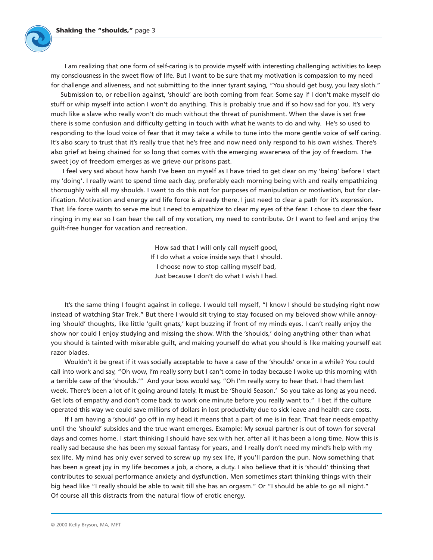

I am realizing that one form of self-caring is to provide myself with interesting challenging activities to keep my consciousness in the sweet flow of life. But I want to be sure that my motivation is compassion to my need for challenge and aliveness, and not submitting to the inner tyrant saying, "You should get busy, you lazy sloth."

Submission to, or rebellion against, 'should' are both coming from fear. Some say if I don't make myself do stuff or whip myself into action I won't do anything. This is probably true and if so how sad for you. It's very much like a slave who really won't do much without the threat of punishment. When the slave is set free there is some confusion and difficulty getting in touch with what he wants to do and why. He's so used to responding to the loud voice of fear that it may take a while to tune into the more gentle voice of self caring. It's also scary to trust that it's really true that he's free and now need only respond to his own wishes. There's also grief at being chained for so long that comes with the emerging awareness of the joy of freedom. The sweet joy of freedom emerges as we grieve our prisons past.

I feel very sad about how harsh I've been on myself as I have tried to get clear on my 'being' before I start my 'doing'. I really want to spend time each day, preferably each morning being with and really empathizing thoroughly with all my shoulds. I want to do this not for purposes of manipulation or motivation, but for clarification. Motivation and energy and life force is already there. I just need to clear a path for it's expression. That life force wants to serve me but I need to empathize to clear my eyes of the fear. I chose to clear the fear ringing in my ear so I can hear the call of my vocation, my need to contribute. Or I want to feel and enjoy the guilt-free hunger for vacation and recreation.

> How sad that I will only call myself good, If I do what a voice inside says that I should. I choose now to stop calling myself bad, Just because I don't do what I wish I had.

It's the same thing I fought against in college. I would tell myself, "I know I should be studying right now instead of watching Star Trek." But there I would sit trying to stay focused on my beloved show while annoying 'should' thoughts, like little 'guilt gnats,' kept buzzing if front of my minds eyes. I can't really enjoy the show nor could I enjoy studying and missing the show. With the 'shoulds,' doing anything other than what you should is tainted with miserable guilt, and making yourself do what you should is like making yourself eat razor blades.

Wouldn't it be great if it was socially acceptable to have a case of the 'shoulds' once in a while? You could call into work and say, "Oh wow, I'm really sorry but I can't come in today because I woke up this morning with a terrible case of the 'shoulds.'" And your boss would say, "Oh I'm really sorry to hear that. I had them last week. There's been a lot of it going around lately. It must be 'Should Season.' So you take as long as you need. Get lots of empathy and don't come back to work one minute before you really want to." I bet if the culture operated this way we could save millions of dollars in lost productivity due to sick leave and health care costs.

If I am having a 'should' go off in my head it means that a part of me is in fear. That fear needs empathy until the 'should' subsides and the true want emerges. Example: My sexual partner is out of town for several days and comes home. I start thinking I should have sex with her, after all it has been a long time. Now this is really sad because she has been my sexual fantasy for years, and I really don't need my mind's help with my sex life. My mind has only ever served to screw up my sex life, if you'll pardon the pun. Now something that has been a great joy in my life becomes a job, a chore, a duty. I also believe that it is 'should' thinking that contributes to sexual performance anxiety and dysfunction. Men sometimes start thinking things with their big head like "I really should be able to wait till she has an orgasm." Or "I should be able to go all night." Of course all this distracts from the natural flow of erotic energy.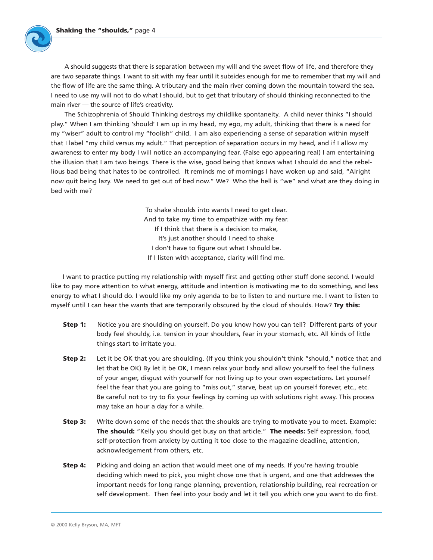

A should suggests that there is separation between my will and the sweet flow of life, and therefore they are two separate things. I want to sit with my fear until it subsides enough for me to remember that my will and the flow of life are the same thing. A tributary and the main river coming down the mountain toward the sea. I need to use my will not to do what I should, but to get that tributary of should thinking reconnected to the main river — the source of life's creativity.

The Schizophrenia of Should Thinking destroys my childlike spontaneity. A child never thinks "I should play." When I am thinking 'should' I am up in my head, my ego, my adult, thinking that there is a need for my "wiser" adult to control my "foolish" child. I am also experiencing a sense of separation within myself that I label "my child versus my adult." That perception of separation occurs in my head, and if I allow my awareness to enter my body I will notice an accompanying fear. (False ego appearing real) I am entertaining the illusion that I am two beings. There is the wise, good being that knows what I should do and the rebellious bad being that hates to be controlled. It reminds me of mornings I have woken up and said, "Alright now quit being lazy. We need to get out of bed now." We? Who the hell is "we" and what are they doing in bed with me?

> To shake shoulds into wants I need to get clear. And to take my time to empathize with my fear. If I think that there is a decision to make, It's just another should I need to shake I don't have to figure out what I should be. If I listen with acceptance, clarity will find me.

I want to practice putting my relationship with myself first and getting other stuff done second. I would like to pay more attention to what energy, attitude and intention is motivating me to do something, and less energy to what I should do. I would like my only agenda to be to listen to and nurture me. I want to listen to myself until I can hear the wants that are temporarily obscured by the cloud of shoulds. How? **Try this:**

- **Step 1:** Notice you are shoulding on yourself. Do you know how you can tell? Different parts of your body feel shouldy, i.e. tension in your shoulders, fear in your stomach, etc. All kinds of little things start to irritate you.
- **Step 2:** Let it be OK that you are shoulding. (If you think you shouldn't think "should," notice that and let that be OK) By let it be OK, I mean relax your body and allow yourself to feel the fullness of your anger, disgust with yourself for not living up to your own expectations. Let yourself feel the fear that you are going to "miss out," starve, beat up on yourself forever, etc., etc. Be careful not to try to fix your feelings by coming up with solutions right away. This process may take an hour a day for a while.
- **Step 3:** Write down some of the needs that the shoulds are trying to motivate you to meet. Example: **The should:** "Kelly you should get busy on that article." **The needs:** Self expression, food, self-protection from anxiety by cutting it too close to the magazine deadline, attention, acknowledgement from others, etc.
- **Step 4:** Picking and doing an action that would meet one of my needs. If you're having trouble deciding which need to pick, you might chose one that is urgent, and one that addresses the important needs for long range planning, prevention, relationship building, real recreation or self development. Then feel into your body and let it tell you which one you want to do first.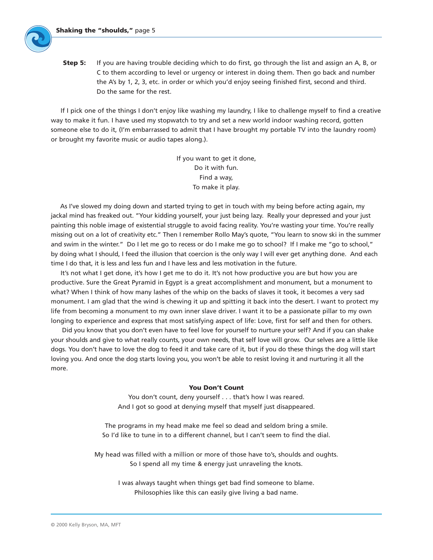

If I pick one of the things I don't enjoy like washing my laundry, I like to challenge myself to find a creative way to make it fun. I have used my stopwatch to try and set a new world indoor washing record, gotten someone else to do it, (I'm embarrassed to admit that I have brought my portable TV into the laundry room) or brought my favorite music or audio tapes along.).

> If you want to get it done, Do it with fun. Find a way, To make it play.

As I've slowed my doing down and started trying to get in touch with my being before acting again, my jackal mind has freaked out. "Your kidding yourself, your just being lazy. Really your depressed and your just painting this noble image of existential struggle to avoid facing reality. You're wasting your time. You're really missing out on a lot of creativity etc." Then I remember Rollo May's quote, "You learn to snow ski in the summer and swim in the winter." Do I let me go to recess or do I make me go to school? If I make me "go to school," by doing what I should, I feed the illusion that coercion is the only way I will ever get anything done. And each time I do that, it is less and less fun and I have less and less motivation in the future.

It's not what I get done, it's how I get me to do it. It's not how productive you are but how you are productive. Sure the Great Pyramid in Egypt is a great accomplishment and monument, but a monument to what? When I think of how many lashes of the whip on the backs of slaves it took, it becomes a very sad monument. I am glad that the wind is chewing it up and spitting it back into the desert. I want to protect my life from becoming a monument to my own inner slave driver. I want it to be a passionate pillar to my own longing to experience and express that most satisfying aspect of life: Love, first for self and then for others.

Did you know that you don't even have to feel love for yourself to nurture your self? And if you can shake your shoulds and give to what really counts, your own needs, that self love will grow. Our selves are a little like dogs. You don't have to love the dog to feed it and take care of it, but if you do these things the dog will start loving you. And once the dog starts loving you, you won't be able to resist loving it and nurturing it all the more.

#### **You Don't Count**

You don't count, deny yourself . . . that's how I was reared. And I got so good at denying myself that myself just disappeared.

The programs in my head make me feel so dead and seldom bring a smile. So I'd like to tune in to a different channel, but I can't seem to find the dial.

My head was filled with a million or more of those have to's, shoulds and oughts. So I spend all my time & energy just unraveling the knots.

I was always taught when things get bad find someone to blame. Philosophies like this can easily give living a bad name.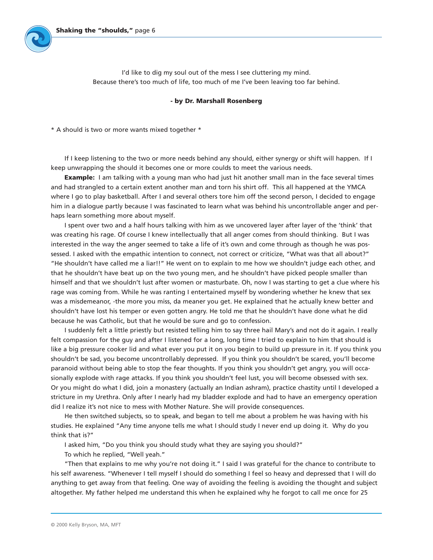I'd like to dig my soul out of the mess I see cluttering my mind. Because there's too much of life, too much of me I've been leaving too far behind.

## **- by Dr. Marshall Rosenberg**

\* A should is two or more wants mixed together \*

If I keep listening to the two or more needs behind any should, either synergy or shift will happen. If I keep unwrapping the should it becomes one or more coulds to meet the various needs.

**Example:** I am talking with a young man who had just hit another small man in the face several times and had strangled to a certain extent another man and torn his shirt off. This all happened at the YMCA where I go to play basketball. After I and several others tore him off the second person, I decided to engage him in a dialogue partly because I was fascinated to learn what was behind his uncontrollable anger and perhaps learn something more about myself.

I spent over two and a half hours talking with him as we uncovered layer after layer of the 'think' that was creating his rage. Of course I knew intellectually that all anger comes from should thinking. But I was interested in the way the anger seemed to take a life of it's own and come through as though he was possessed. I asked with the empathic intention to connect, not correct or criticize, "What was that all about?" "He shouldn't have called me a liar!!" He went on to explain to me how we shouldn't judge each other, and that he shouldn't have beat up on the two young men, and he shouldn't have picked people smaller than himself and that we shouldn't lust after women or masturbate. Oh, now I was starting to get a clue where his rage was coming from. While he was ranting I entertained myself by wondering whether he knew that sex was a misdemeanor, -the more you miss, da meaner you get. He explained that he actually knew better and shouldn't have lost his temper or even gotten angry. He told me that he shouldn't have done what he did because he was Catholic, but that he would be sure and go to confession.

I suddenly felt a little priestly but resisted telling him to say three hail Mary's and not do it again. I really felt compassion for the guy and after I listened for a long, long time I tried to explain to him that should is like a big pressure cooker lid and what ever you put it on you begin to build up pressure in it. If you think you shouldn't be sad, you become uncontrollably depressed. If you think you shouldn't be scared, you'll become paranoid without being able to stop the fear thoughts. If you think you shouldn't get angry, you will occasionally explode with rage attacks. If you think you shouldn't feel lust, you will become obsessed with sex. Or you might do what I did, join a monastery (actually an Indian ashram), practice chastity until I developed a stricture in my Urethra. Only after I nearly had my bladder explode and had to have an emergency operation did I realize it's not nice to mess with Mother Nature. She will provide consequences.

He then switched subjects, so to speak, and began to tell me about a problem he was having with his studies. He explained "Any time anyone tells me what I should study I never end up doing it. Why do you think that is?"

I asked him, "Do you think you should study what they are saying you should?"

To which he replied, "Well yeah."

"Then that explains to me why you're not doing it." I said I was grateful for the chance to contribute to his self awareness. "Whenever I tell myself I should do something I feel so heavy and depressed that I will do anything to get away from that feeling. One way of avoiding the feeling is avoiding the thought and subject altogether. My father helped me understand this when he explained why he forgot to call me once for 25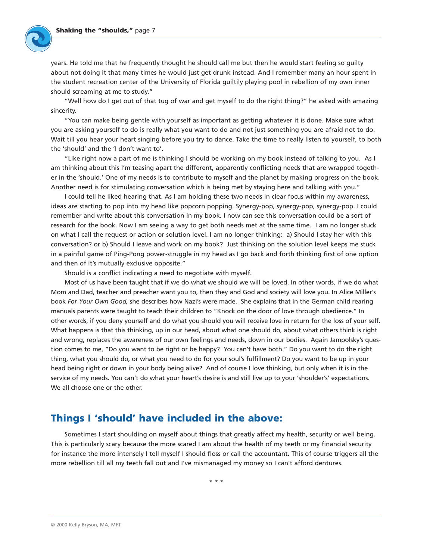

years. He told me that he frequently thought he should call me but then he would start feeling so guilty about not doing it that many times he would just get drunk instead. And I remember many an hour spent in the student recreation center of the University of Florida guiltily playing pool in rebellion of my own inner should screaming at me to study."

"Well how do I get out of that tug of war and get myself to do the right thing?" he asked with amazing sincerity.

"You can make being gentle with yourself as important as getting whatever it is done. Make sure what you are asking yourself to do is really what you want to do and not just something you are afraid not to do. Wait till you hear your heart singing before you try to dance. Take the time to really listen to yourself, to both the 'should' and the 'I don't want to'.

"Like right now a part of me is thinking I should be working on my book instead of talking to you. As I am thinking about this I'm teasing apart the different, apparently conflicting needs that are wrapped together in the 'should.' One of my needs is to contribute to myself and the planet by making progress on the book. Another need is for stimulating conversation which is being met by staying here and talking with you."

I could tell he liked hearing that. As I am holding these two needs in clear focus within my awareness, ideas are starting to pop into my head like popcorn popping. Synergy-pop, synergy-pop, synergy-pop. I could remember and write about this conversation in my book. I now can see this conversation could be a sort of research for the book. Now I am seeing a way to get both needs met at the same time. I am no longer stuck on what I call the request or action or solution level. I am no longer thinking: a) Should I stay her with this conversation? or b) Should I leave and work on my book? Just thinking on the solution level keeps me stuck in a painful game of Ping-Pong power-struggle in my head as I go back and forth thinking first of one option and then of it's mutually exclusive opposite."

Should is a conflict indicating a need to negotiate with myself.

Most of us have been taught that if we do what we should we will be loved. In other words, if we do what Mom and Dad, teacher and preacher want you to, then they and God and society will love you. In Alice Miller's book *For Your Own Good,* she describes how Nazi's were made. She explains that in the German child rearing manuals parents were taught to teach their children to "Knock on the door of love through obedience." In other words, if you deny yourself and do what you should you will receive love in return for the loss of your self. What happens is that this thinking, up in our head, about what one should do, about what others think is right and wrong, replaces the awareness of our own feelings and needs, down in our bodies. Again Jampolsky's question comes to me, "Do you want to be right or be happy? You can't have both." Do you want to do the right thing, what you should do, or what you need to do for your soul's fulfillment? Do you want to be up in your head being right or down in your body being alive? And of course I love thinking, but only when it is in the service of my needs. You can't do what your heart's desire is and still live up to your 'shoulder's' expectations. We all choose one or the other.

## **Things I 'should' have included in the above:**

Sometimes I start shoulding on myself about things that greatly affect my health, security or well being. This is particularly scary because the more scared I am about the health of my teeth or my financial security for instance the more intensely I tell myself I should floss or call the accountant. This of course triggers all the more rebellion till all my teeth fall out and I've mismanaged my money so I can't afford dentures.

\* \* \*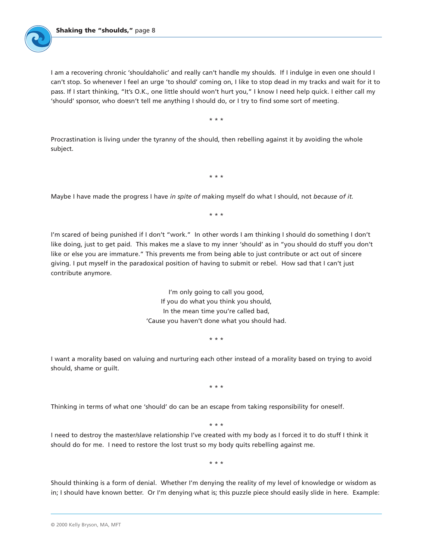I am a recovering chronic 'shouldaholic' and really can't handle my shoulds. If I indulge in even one should I can't stop. So whenever I feel an urge 'to should' coming on, I like to stop dead in my tracks and wait for it to pass. If I start thinking, "It's O.K., one little should won't hurt you," I know I need help quick. I either call my 'should' sponsor, who doesn't tell me anything I should do, or I try to find some sort of meeting.

\* \* \*

Procrastination is living under the tyranny of the should, then rebelling against it by avoiding the whole subject.

\* \* \*

Maybe I have made the progress I have *in spite of* making myself do what I should, not *because of it.*

\* \* \*

I'm scared of being punished if I don't "work." In other words I am thinking I should do something I don't like doing, just to get paid. This makes me a slave to my inner 'should' as in "you should do stuff you don't like or else you are immature." This prevents me from being able to just contribute or act out of sincere giving. I put myself in the paradoxical position of having to submit or rebel. How sad that I can't just contribute anymore.

> I'm only going to call you good, If you do what you think you should, In the mean time you're called bad, 'Cause you haven't done what you should had.

> > \* \* \*

I want a morality based on valuing and nurturing each other instead of a morality based on trying to avoid should, shame or guilt.

\* \* \*

Thinking in terms of what one 'should' do can be an escape from taking responsibility for oneself.

\* \* \*

I need to destroy the master/slave relationship I've created with my body as I forced it to do stuff I think it should do for me. I need to restore the lost trust so my body quits rebelling against me.

\* \* \*

Should thinking is a form of denial. Whether I'm denying the reality of my level of knowledge or wisdom as in; I should have known better. Or I'm denying what is; this puzzle piece should easily slide in here. Example: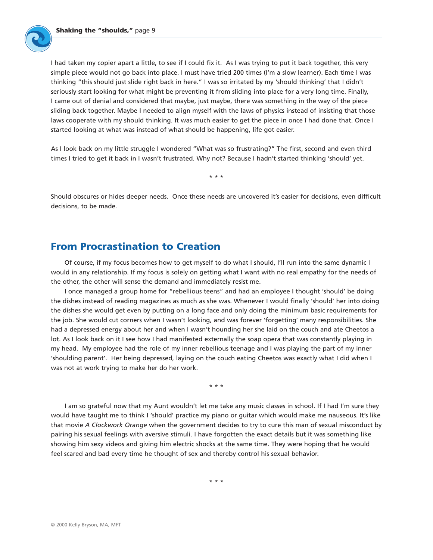

As I look back on my little struggle I wondered "What was so frustrating?" The first, second and even third times I tried to get it back in I wasn't frustrated. Why not? Because I hadn't started thinking 'should' yet.

\* \* \*

Should obscures or hides deeper needs. Once these needs are uncovered it's easier for decisions, even difficult decisions, to be made.

## **From Procrastination to Creation**

Of course, if my focus becomes how to get myself to do what I should, I'll run into the same dynamic I would in any relationship. If my focus is solely on getting what I want with no real empathy for the needs of the other, the other will sense the demand and immediately resist me.

I once managed a group home for "rebellious teens" and had an employee I thought 'should' be doing the dishes instead of reading magazines as much as she was. Whenever I would finally 'should' her into doing the dishes she would get even by putting on a long face and only doing the minimum basic requirements for the job. She would cut corners when I wasn't looking, and was forever 'forgetting' many responsibilities. She had a depressed energy about her and when I wasn't hounding her she laid on the couch and ate Cheetos a lot. As I look back on it I see how I had manifested externally the soap opera that was constantly playing in my head. My employee had the role of my inner rebellious teenage and I was playing the part of my inner 'shoulding parent'. Her being depressed, laying on the couch eating Cheetos was exactly what I did when I was not at work trying to make her do her work.

\* \* \*

I am so grateful now that my Aunt wouldn't let me take any music classes in school. If I had I'm sure they would have taught me to think I 'should' practice my piano or guitar which would make me nauseous. It's like that movie *A Clockwork Orange* when the government decides to try to cure this man of sexual misconduct by pairing his sexual feelings with aversive stimuli. I have forgotten the exact details but it was something like showing him sexy videos and giving him electric shocks at the same time. They were hoping that he would feel scared and bad every time he thought of sex and thereby control his sexual behavior.

\* \* \*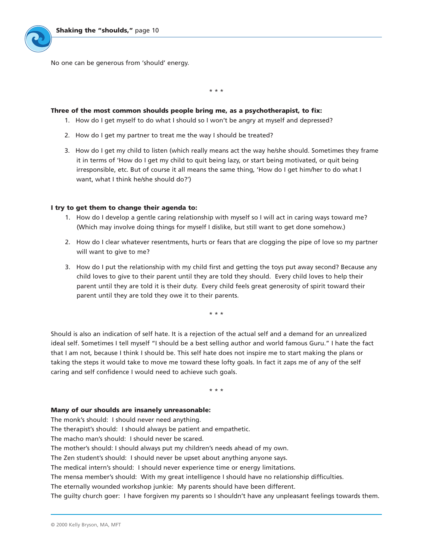No one can be generous from 'should' energy.

\* \* \*

## **Three of the most common shoulds people bring me, as a psychotherapist, to fix:**

- 1. How do I get myself to do what I should so I won't be angry at myself and depressed?
- 2. How do I get my partner to treat me the way I should be treated?
- 3. How do I get my child to listen (which really means act the way he/she should. Sometimes they frame it in terms of 'How do I get my child to quit being lazy, or start being motivated, or quit being irresponsible, etc. But of course it all means the same thing, 'How do I get him/her to do what I want, what I think he/she should do?')

## **I try to get them to change their agenda to:**

- 1. How do I develop a gentle caring relationship with myself so I will act in caring ways toward me? (Which may involve doing things for myself I dislike, but still want to get done somehow.)
- 2. How do I clear whatever resentments, hurts or fears that are clogging the pipe of love so my partner will want to give to me?
- 3. How do I put the relationship with my child first and getting the toys put away second? Because any child loves to give to their parent until they are told they should. Every child loves to help their parent until they are told it is their duty. Every child feels great generosity of spirit toward their parent until they are told they owe it to their parents.

\* \* \*

Should is also an indication of self hate. It is a rejection of the actual self and a demand for an unrealized ideal self. Sometimes I tell myself "I should be a best selling author and world famous Guru." I hate the fact that I am not, because I think I should be. This self hate does not inspire me to start making the plans or taking the steps it would take to move me toward these lofty goals. In fact it zaps me of any of the self caring and self confidence I would need to achieve such goals.

\* \* \*

#### **Many of our shoulds are insanely unreasonable:**

The monk's should: I should never need anything.

The therapist's should: I should always be patient and empathetic.

The macho man's should: I should never be scared.

The mother's should: I should always put my children's needs ahead of my own.

The Zen student's should: I should never be upset about anything anyone says.

The medical intern's should: I should never experience time or energy limitations.

The mensa member's should: With my great intelligence I should have no relationship difficulties.

The eternally wounded workshop junkie: My parents should have been different.

The guilty church goer: I have forgiven my parents so I shouldn't have any unpleasant feelings towards them.